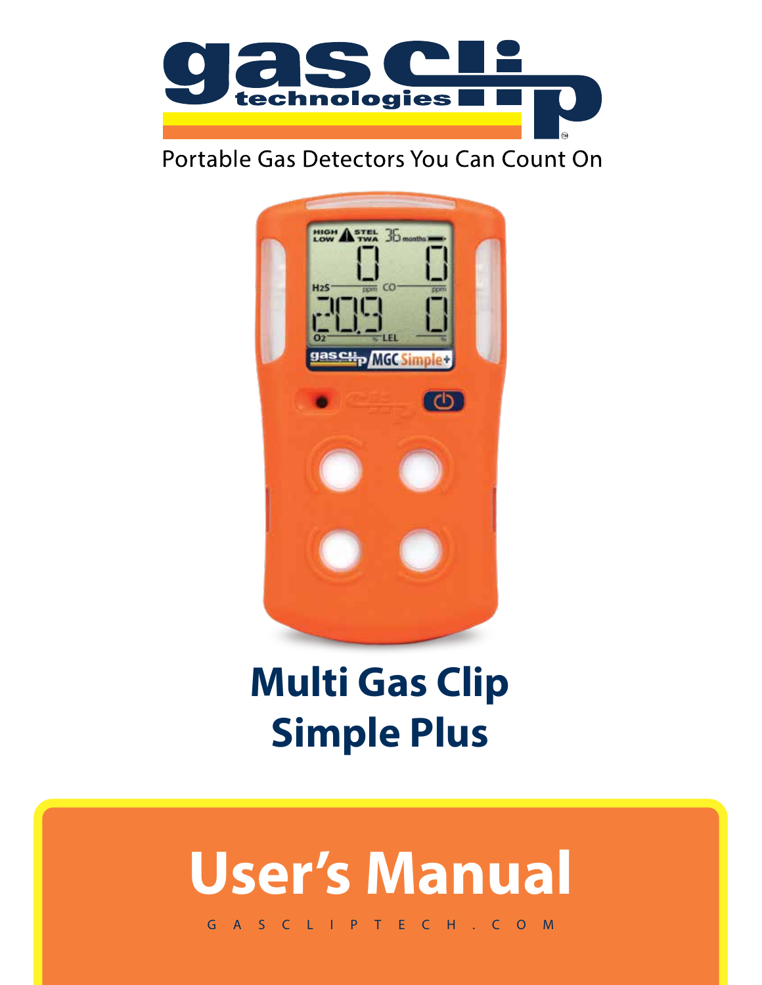

# Portable Gas Detectors You Can Count On



# **Multi Gas Clip Simple Plus**

# **User's Manual**

GASCLIPTECH.COM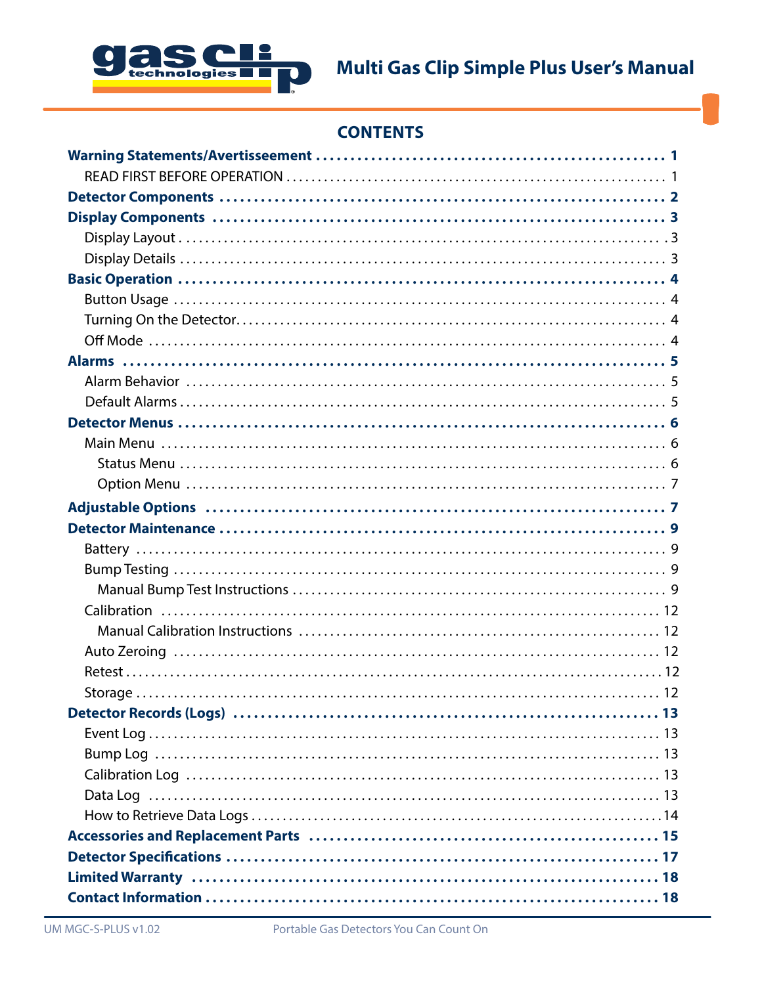

## **CONTENTS**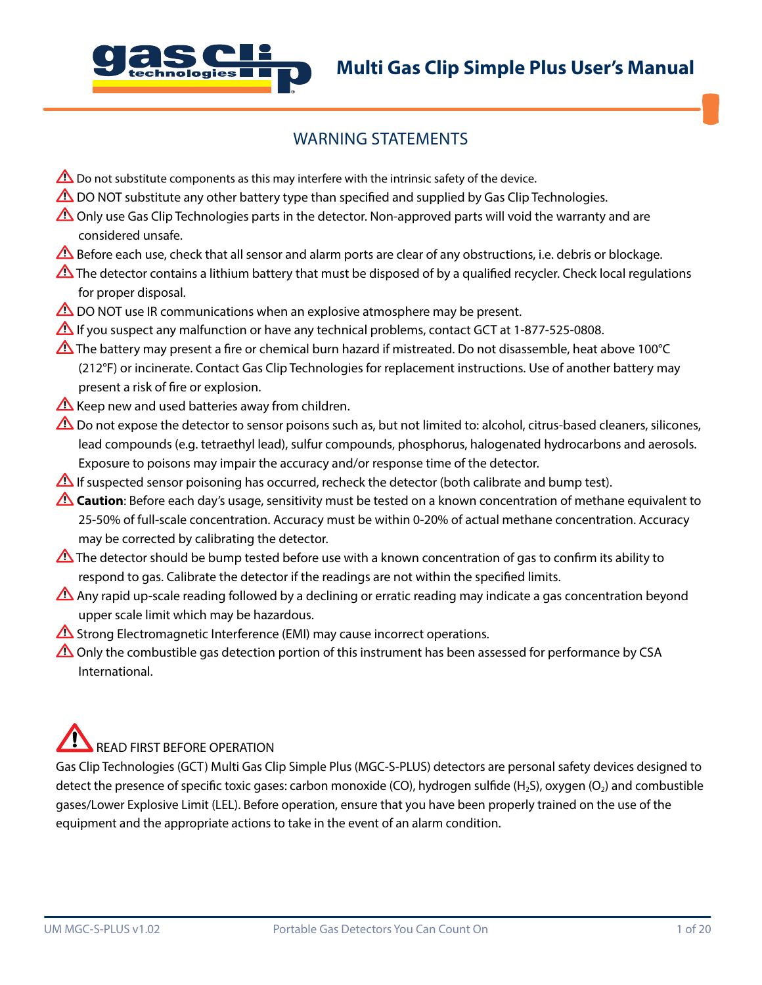

## WARNING STATEMENTS

- $\triangle$  Do not substitute components as this may interfere with the intrinsic safety of the device.
- $\triangle$  DO NOT substitute any other battery type than specified and supplied by Gas Clip Technologies.
- $\triangle$  Only use Gas Clip Technologies parts in the detector. Non-approved parts will void the warranty and are considered unsafe.
- Before each use, check that all sensor and alarm ports are clear of any obstructions, i.e. debris or blockage.
- The detector contains a lithium battery that must be disposed of by a qualified recycler. Check local regulations for proper disposal.
- $\triangle$  DO NOT use IR communications when an explosive atmosphere may be present.
- If you suspect any malfunction or have any technical problems, contact GCT at 1-877-525-0808.
- The battery may present a fire or chemical burn hazard if mistreated. Do not disassemble, heat above 100°C (212°F) or incinerate. Contact Gas Clip Technologies for replacement instructions. Use of another battery may present a risk of fire or explosion.
- $\triangle$  Keep new and used batteries away from children.
- $\triangle$  Do not expose the detector to sensor poisons such as, but not limited to: alcohol, citrus-based cleaners, silicones, lead compounds (e.g. tetraethyl lead), sulfur compounds, phosphorus, halogenated hydrocarbons and aerosols. Exposure to poisons may impair the accuracy and/or response time of the detector.
- If suspected sensor poisoning has occurred, recheck the detector (both calibrate and bump test).
- **Caution**: Before each day's usage, sensitivity must be tested on a known concentration of methane equivalent to 25-50% of full-scale concentration. Accuracy must be within 0-20% of actual methane concentration. Accuracy may be corrected by calibrating the detector.
- The detector should be bump tested before use with a known concentration of gas to confirm its ability to  $\triangle$ respond to gas. Calibrate the detector if the readings are not within the specified limits.
- Any rapid up-scale reading followed by a declining or erratic reading may indicate a gas concentration beyond upper scale limit which may be hazardous.
- $\triangle$  Strong Electromagnetic Interference (EMI) may cause incorrect operations.
- $\triangle$  Only the combustible gas detection portion of this instrument has been assessed for performance by CSA International.

# READ FIRST BEFORE OPERATION

Gas Clip Technologies (GCT) Multi Gas Clip Simple Plus (MGC-S-PLUS) detectors are personal safety devices designed to detect the presence of specific toxic gases: carbon monoxide (CO), hydrogen sulfide (H<sub>2</sub>S), oxygen (O<sub>2</sub>) and combustible gases/Lower Explosive Limit (LEL). Before operation, ensure that you have been properly trained on the use of the equipment and the appropriate actions to take in the event of an alarm condition.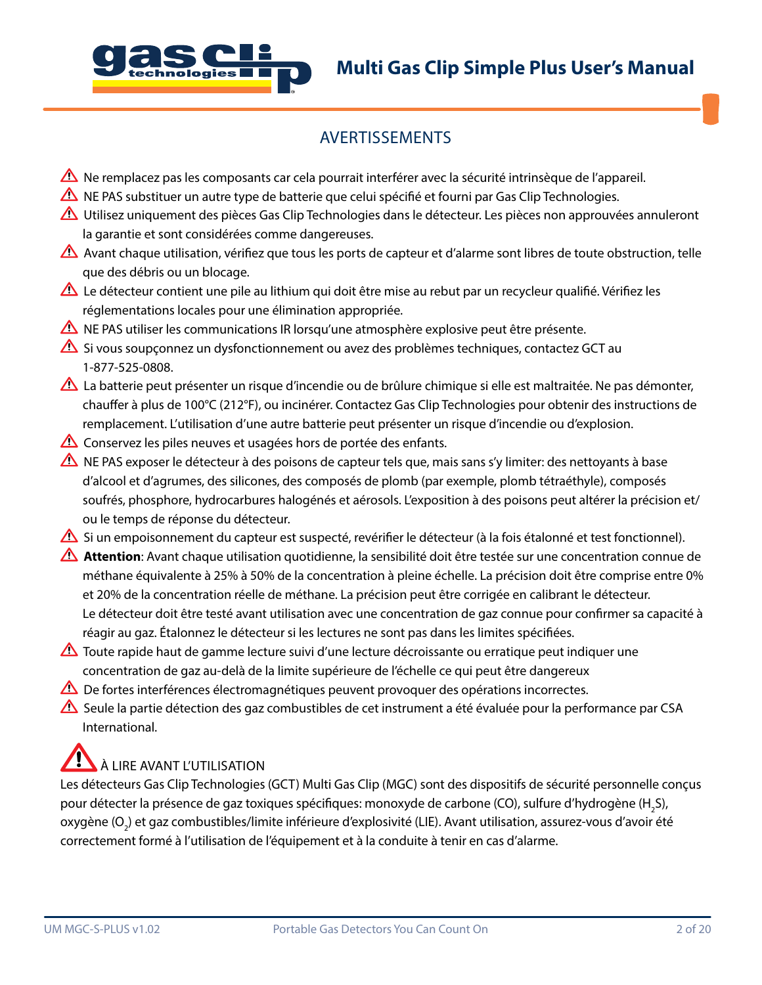



## AVERTISSEMENTS

- $\triangle$  Ne remplacez pas les composants car cela pourrait interférer avec la sécurité intrinsèque de l'appareil.
- A NE PAS substituer un autre type de batterie que celui spécifié et fourni par Gas Clip Technologies.
- $\triangle$  Utilisez uniquement des pièces Gas Clip Technologies dans le détecteur. Les pièces non approuvées annuleront la garantie et sont considérées comme dangereuses.
- Avant chaque utilisation, vérifiez que tous les ports de capteur et d'alarme sont libres de toute obstruction, telle que des débris ou un blocage.
- Le détecteur contient une pile au lithium qui doit être mise au rebut par un recycleur qualifié. Vérifiez les réglementations locales pour une élimination appropriée.
- $\triangle$  NE PAS utiliser les communications IR lorsqu'une atmosphère explosive peut être présente.
- $\triangle$  Si vous soupconnez un dysfonctionnement ou avez des problèmes techniques, contactez GCT au 1-877-525-0808.
- La batterie peut présenter un risque d'incendie ou de brûlure chimique si elle est maltraitée. Ne pas démonter, chauffer à plus de 100°C (212°F), ou incinérer. Contactez Gas Clip Technologies pour obtenir des instructions de remplacement. L'utilisation d'une autre batterie peut présenter un risque d'incendie ou d'explosion.
- $\triangle$  Conservez les piles neuves et usagées hors de portée des enfants.
- $\triangle$  NE PAS exposer le détecteur à des poisons de capteur tels que, mais sans s'y limiter: des nettoyants à base d'alcool et d'agrumes, des silicones, des composés de plomb (par exemple, plomb tétraéthyle), composés soufrés, phosphore, hydrocarbures halogénés et aérosols. L'exposition à des poisons peut altérer la précision et/ ou le temps de réponse du détecteur.
- Si un empoisonnement du capteur est suspecté, revérifier le détecteur (à la fois étalonné et test fonctionnel).
- **Attention**: Avant chaque utilisation quotidienne, la sensibilité doit être testée sur une concentration connue de méthane équivalente à 25% à 50% de la concentration à pleine échelle. La précision doit être comprise entre 0% et 20% de la concentration réelle de méthane. La précision peut être corrigée en calibrant le détecteur. Le détecteur doit être testé avant utilisation avec une concentration de gaz connue pour confirmer sa capacité à réagir au gaz. Étalonnez le détecteur si les lectures ne sont pas dans les limites spécifiées.
- Toute rapide haut de gamme lecture suivi d'une lecture décroissante ou erratique peut indiquer une concentration de gaz au-delà de la limite supérieure de l'échelle ce qui peut être dangereux
- $\Delta$  De fortes interférences électromagnétiques peuvent provoquer des opérations incorrectes.
- Seule la partie détection des gaz combustibles de cet instrument a été évaluée pour la performance par CSA International.

# À LIRE AVANT L'UTILISATION

Les détecteurs Gas Clip Technologies (GCT) Multi Gas Clip (MGC) sont des dispositifs de sécurité personnelle conçus pour détecter la présence de gaz toxiques spécifiques: monoxyde de carbone (CO), sulfure d'hydrogène (H<sub>2</sub>S), oxygène (O<sub>2</sub>) et gaz combustibles/limite inférieure d'explosivité (LIE). Avant utilisation, assurez-vous d'avoir été correctement formé à l'utilisation de l'équipement et à la conduite à tenir en cas d'alarme.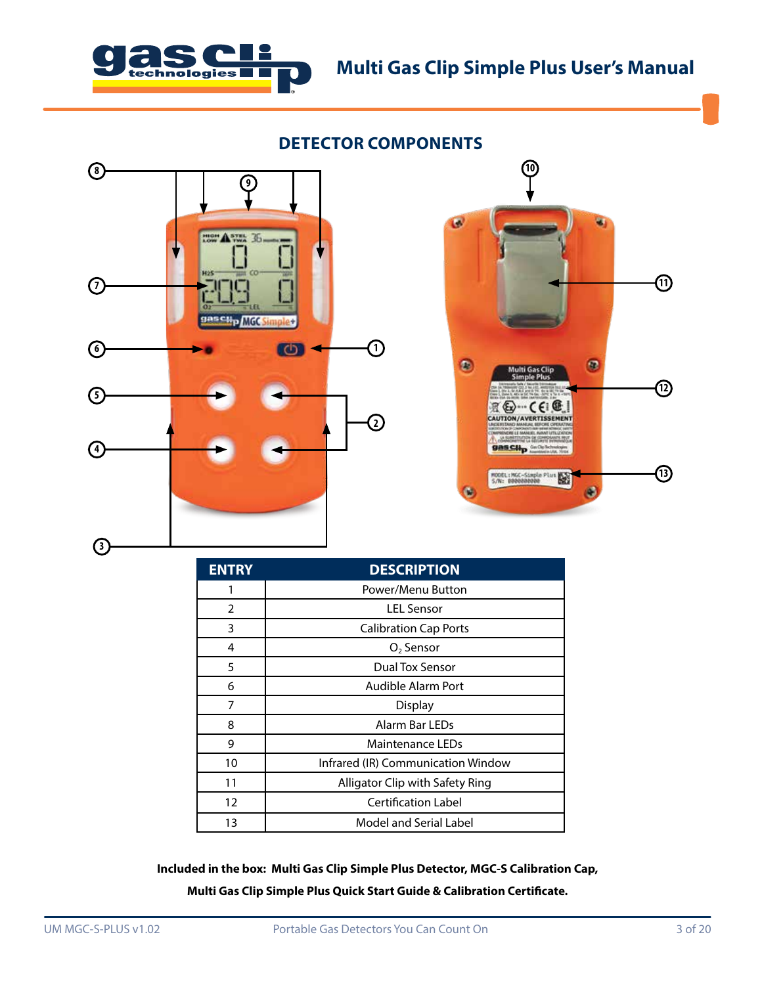

## **DETECTOR COMPONENTS**





| <b>ENTRY</b> | <b>DESCRIPTION</b>                 |  |  |
|--------------|------------------------------------|--|--|
| 1            | Power/Menu Button                  |  |  |
| 2            | I FI Sensor                        |  |  |
| 3            | <b>Calibration Cap Ports</b>       |  |  |
| 4            | O <sub>2</sub> Sensor              |  |  |
| 5            | Dual Tox Sensor                    |  |  |
| 6            | Audible Alarm Port                 |  |  |
| 7            | Display                            |  |  |
| 8            | Alarm Bar I FDs                    |  |  |
| 9            | Maintenance LEDs                   |  |  |
| 10           | Infrared (IR) Communication Window |  |  |
| 11           | Alligator Clip with Safety Ring    |  |  |
| 12           | <b>Certification Label</b>         |  |  |
| 13           | Model and Serial Label             |  |  |

**Included in the box: Multi Gas Clip Simple Plus Detector, MGC-S Calibration Cap, Multi Gas Clip Simple Plus Quick Start Guide & Calibration Certificate.**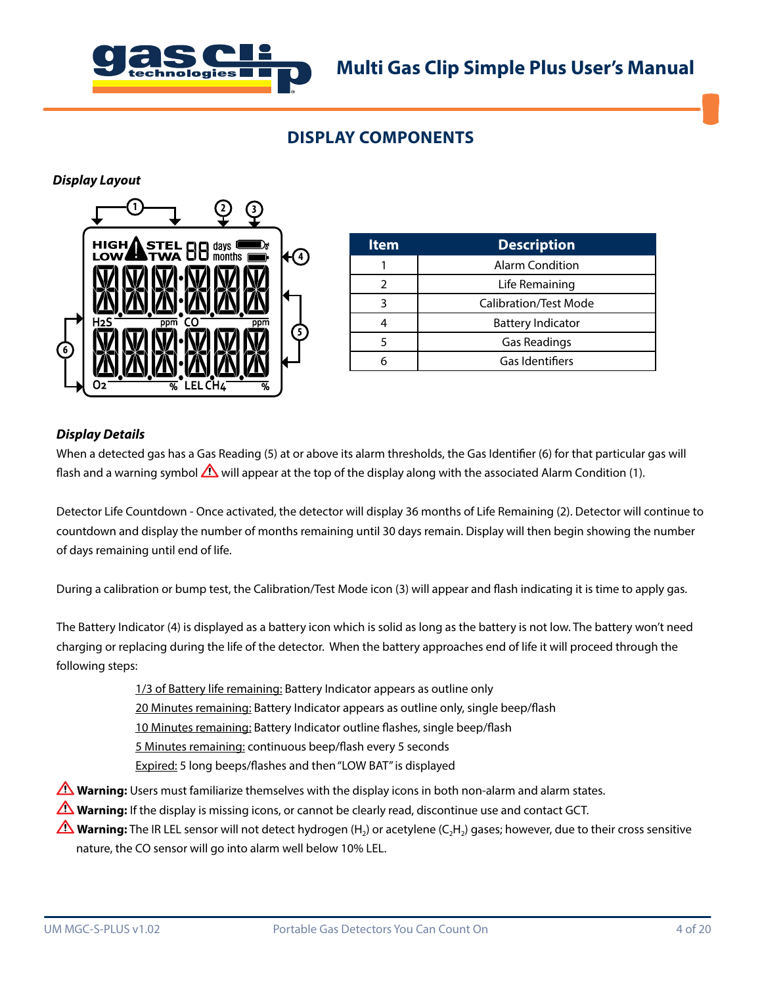

## **DISPLAY COMPONENTS**

*Display Layout*



| <b>Item</b> | <b>Description</b>           |
|-------------|------------------------------|
|             | <b>Alarm Condition</b>       |
|             | Life Remaining               |
|             | <b>Calibration/Test Mode</b> |
|             | <b>Battery Indicator</b>     |
|             | Gas Readings                 |
|             | Gas Identifiers              |

### *Display Details*

When a detected gas has a Gas Reading (5) at or above its alarm thresholds, the Gas Identifier (6) for that particular gas will flash and a warning symbol  $\Delta$  will appear at the top of the display along with the associated Alarm Condition (1).

Detector Life Countdown - Once activated, the detector will display 36 months of Life Remaining (2). Detector will continue to countdown and display the number of months remaining until 30 days remain. Display will then begin showing the number of days remaining until end of life.

During a calibration or bump test, the Calibration/Test Mode icon (3) will appear and flash indicating it is time to apply gas.

The Battery Indicator (4) is displayed as a battery icon which is solid as long as the battery is not low. The battery won't need charging or replacing during the life of the detector. When the battery approaches end of life it will proceed through the following steps:

1/3 of Battery life remaining: Battery Indicator appears as outline only

20 Minutes remaining: Battery Indicator appears as outline only, single beep/flash

10 Minutes remaining: Battery Indicator outline flashes, single beep/flash

5 Minutes remaining: continuous beep/flash every 5 seconds

Expired: 5 long beeps/flashes and then "LOW BAT" is displayed

- **Warning:** Users must familiarize themselves with the display icons in both non-alarm and alarm states.
- **Warning:** If the display is missing icons, or cannot be clearly read, discontinue use and contact GCT.
- **Warning:** The IR LEL sensor will not detect hydrogen (H<sub>2</sub>) or acetylene (C<sub>2</sub>H<sub>2</sub>) gases; however, due to their cross sensitive nature, the CO sensor will go into alarm well below 10% LEL.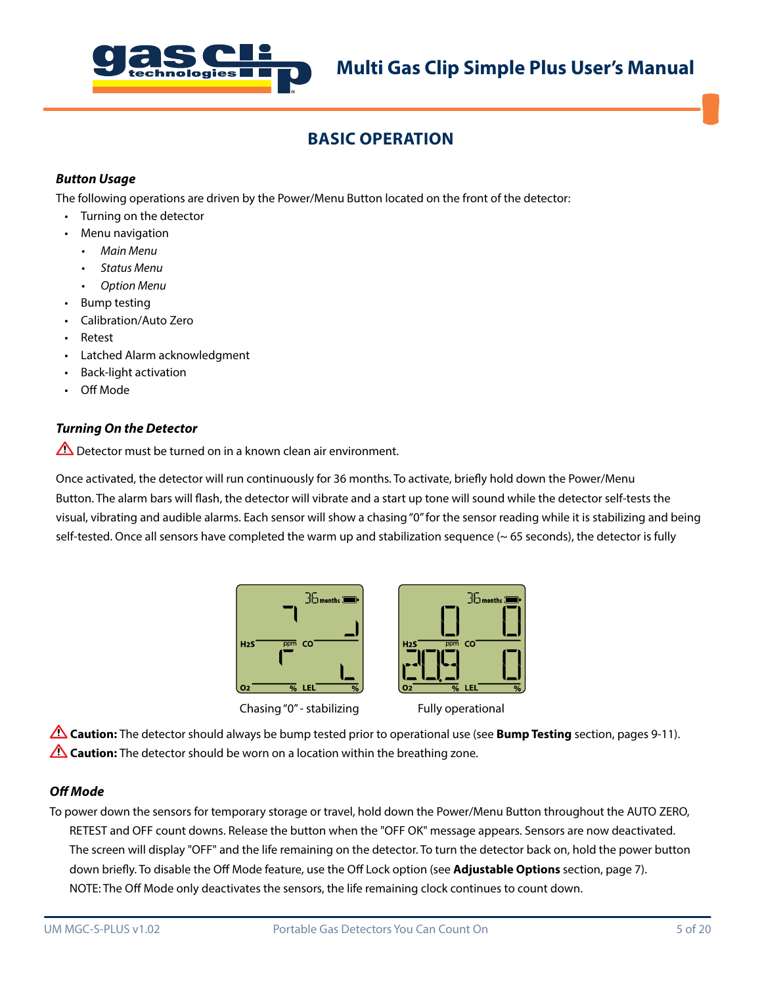

## **BASIC OPERATION**

## *Button Usage*

The following operations are driven by the Power/Menu Button located on the front of the detector:

- Turning on the detector
- Menu navigation
	- *• Main Menu*
	- *• Status Menu*
	- *• Option Menu*
- Bump testing
- Calibration/Auto Zero
- Retest
- Latched Alarm acknowledgment
- Back-light activation
- Off Mode

### *Turning On the Detector*

 $\triangle$  Detector must be turned on in a known clean air environment.

Once activated, the detector will run continuously for 36 months. To activate, briefly hold down the Power/Menu Button. The alarm bars will flash, the detector will vibrate and a start up tone will sound while the detector self-tests the visual, vibrating and audible alarms. Each sensor will show a chasing "0" for the sensor reading while it is stabilizing and being self-tested. Once all sensors have completed the warm up and stabilization sequence  $($   $\sim$  65 seconds), the detector is fully



Chasing "0" - stabilizing Fully operational



**Caution:** The detector should always be bump tested prior to operational use (see **Bump Testing** section, pages 9-11). **Caution:** The detector should be worn on a location within the breathing zone.

### *Off Mode*

To power down the sensors for temporary storage or travel, hold down the Power/Menu Button throughout the AUTO ZERO, RETEST and OFF count downs. Release the button when the "OFF OK" message appears. Sensors are now deactivated. The screen will display "OFF" and the life remaining on the detector. To turn the detector back on, hold the power button down briefly. To disable the Off Mode feature, use the Off Lock option (see **Adjustable Options** section, page 7). NOTE: The Off Mode only deactivates the sensors, the life remaining clock continues to count down.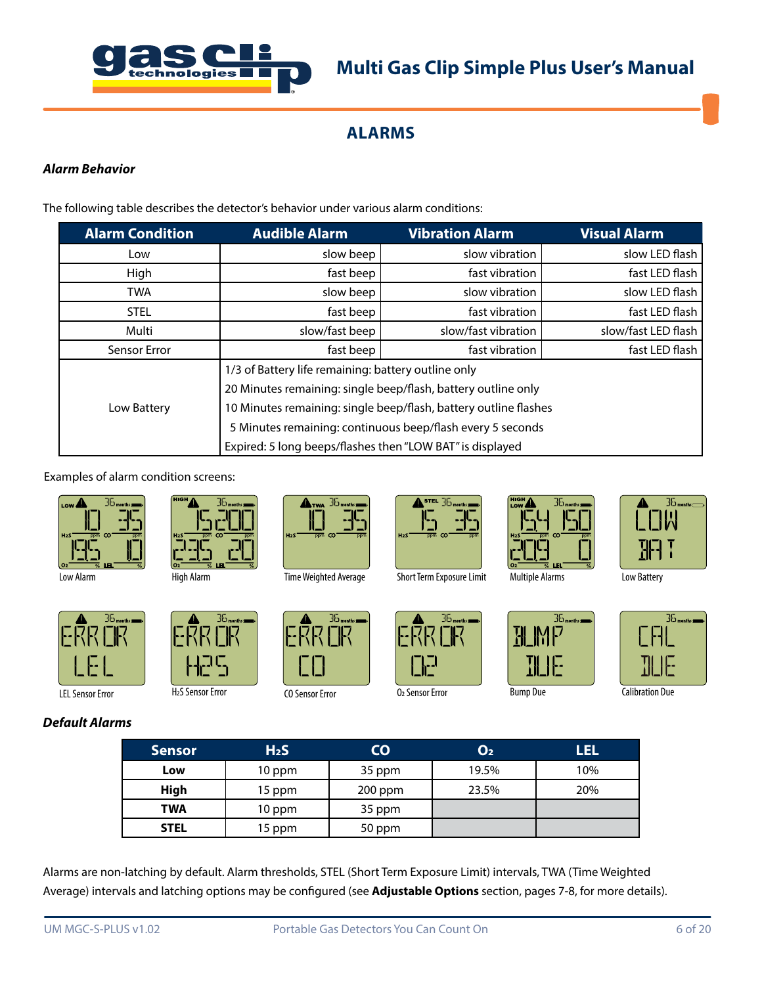

## **ALARMS**

### *Alarm Behavior*

The following table describes the detector's behavior under various alarm conditions:

| <b>Alarm Condition</b>                                    | <b>Audible Alarm</b>                                             | <b>Vibration Alarm</b> | <b>Visual Alarm</b> |  |
|-----------------------------------------------------------|------------------------------------------------------------------|------------------------|---------------------|--|
| Low                                                       | slow beep                                                        | slow vibration         | slow LED flash      |  |
| High                                                      | fast beep                                                        | fast vibration         | fast LED flash      |  |
| <b>TWA</b>                                                | slow beep                                                        | slow vibration         | slow LED flash      |  |
| <b>STEL</b>                                               | fast beep                                                        | fast vibration         | fast LED flash      |  |
| Multi                                                     | slow/fast beep                                                   | slow/fast vibration    | slow/fast LED flash |  |
| Sensor Error                                              | fast beep                                                        | fast vibration         | fast LED flash      |  |
|                                                           | 1/3 of Battery life remaining: battery outline only              |                        |                     |  |
|                                                           | 20 Minutes remaining: single beep/flash, battery outline only    |                        |                     |  |
| Low Battery                                               | 10 Minutes remaining: single beep/flash, battery outline flashes |                        |                     |  |
|                                                           | 5 Minutes remaining: continuous beep/flash every 5 seconds       |                        |                     |  |
| Expired: 5 long beeps/flashes then "LOW BAT" is displayed |                                                                  |                        |                     |  |

Examples of alarm condition screens:



Low Alarm



LEL Sensor Error

*Default Alarms*



High Alarm

H2S Sensor Error



Time Weighted Average



CO Sensor Error



O2 Sensor Error





깨 15

 $35$ <sub>months</sub>



Multiple Alarms Low Battery



**Bump Due Calibration Due** 

| <b>Sensor</b> | H <sub>2</sub> S | CO      | O <sub>2</sub> | UEL |
|---------------|------------------|---------|----------------|-----|
| Low           | 10 ppm           | 35 ppm  | 19.5%          | 10% |
| High          | 15 ppm           | 200 ppm | 23.5%          | 20% |
| TWA           | 10 ppm           | 35 ppm  |                |     |
| <b>STEL</b>   | 15 ppm           | 50 ppm  |                |     |

Alarms are non-latching by default. Alarm thresholds, STEL (Short Term Exposure Limit) intervals, TWA (Time Weighted Average) intervals and latching options may be configured (see **Adjustable Options** section, pages 7-8, for more details).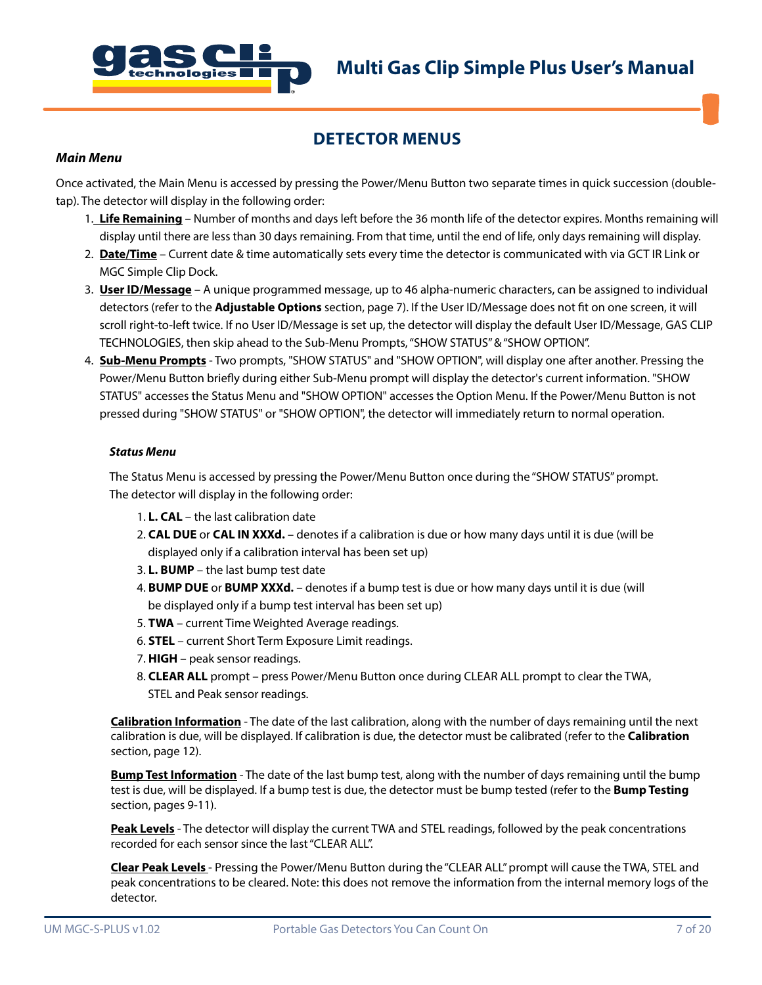

## **DETECTOR MENUS**

#### *Main Menu*

Once activated, the Main Menu is accessed by pressing the Power/Menu Button two separate times in quick succession (doubletap). The detector will display in the following order:

- 1. **Life Remaining** Number of months and days left before the 36 month life of the detector expires. Months remaining will display until there are less than 30 days remaining. From that time, until the end of life, only days remaining will display.
- 2. **Date/Time** Current date & time automatically sets every time the detector is communicated with via GCT IR Link or MGC Simple Clip Dock.
- 3. **User ID/Message** A unique programmed message, up to 46 alpha-numeric characters, can be assigned to individual detectors (refer to the **Adjustable Options** section, page 7). If the User ID/Message does not fit on one screen, it will scroll right-to-left twice. If no User ID/Message is set up, the detector will display the default User ID/Message, GAS CLIP TECHNOLOGIES, then skip ahead to the Sub-Menu Prompts, "SHOW STATUS" & "SHOW OPTION".
- 4. **Sub-Menu Prompts** Two prompts, "SHOW STATUS" and "SHOW OPTION", will display one after another. Pressing the Power/Menu Button briefly during either Sub-Menu prompt will display the detector's current information. "SHOW STATUS" accesses the Status Menu and "SHOW OPTION" accesses the Option Menu. If the Power/Menu Button is not pressed during "SHOW STATUS" or "SHOW OPTION", the detector will immediately return to normal operation.

#### *Status Menu*

The Status Menu is accessed by pressing the Power/Menu Button once during the "SHOW STATUS" prompt. The detector will display in the following order:

- 1. **L. CAL** the last calibration date
- 2. **CAL DUE** or **CAL IN XXXd.** denotes if a calibration is due or how many days until it is due (will be displayed only if a calibration interval has been set up)
- 3. **L. BUMP** the last bump test date
- 4. **BUMP DUE** or **BUMP XXXd.** denotes if a bump test is due or how many days until it is due (will be displayed only if a bump test interval has been set up)
- 5. **TWA** current Time Weighted Average readings.
- 6. **STEL** current Short Term Exposure Limit readings.
- 7. **HIGH** peak sensor readings.
- 8. **CLEAR ALL** prompt press Power/Menu Button once during CLEAR ALL prompt to clear the TWA, STEL and Peak sensor readings.

**Calibration Information** - The date of the last calibration, along with the number of days remaining until the next calibration is due, will be displayed. If calibration is due, the detector must be calibrated (refer to the **Calibration** section, page 12).

**Bump Test Information** - The date of the last bump test, along with the number of days remaining until the bump test is due, will be displayed. If a bump test is due, the detector must be bump tested (refer to the **Bump Testing** section, pages 9-11).

**Peak Levels** - The detector will display the current TWA and STEL readings, followed by the peak concentrations recorded for each sensor since the last "CLEAR ALL".

**Clear Peak Levels** - Pressing the Power/Menu Button during the "CLEAR ALL" prompt will cause the TWA, STEL and peak concentrations to be cleared. Note: this does not remove the information from the internal memory logs of the detector.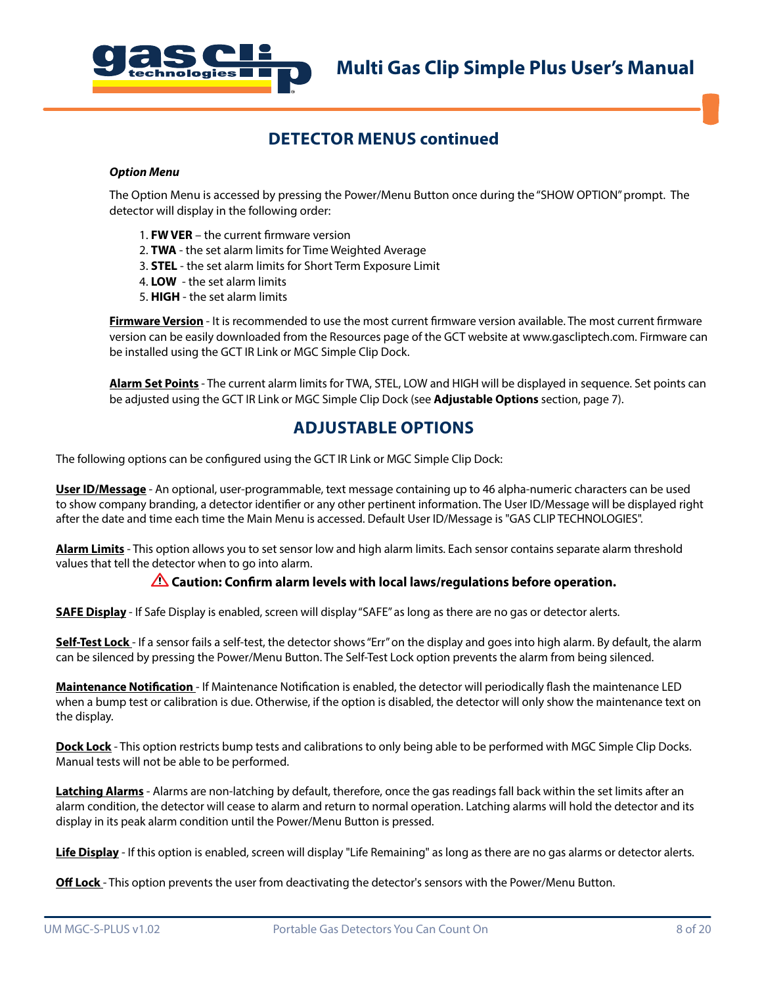

## **DETECTOR MENUS continued**

#### *Option Menu*

The Option Menu is accessed by pressing the Power/Menu Button once during the "SHOW OPTION" prompt. The detector will display in the following order:

- 1. **FW VER** the current firmware version
- 2. **TWA** the set alarm limits for Time Weighted Average
- 3. **STEL** the set alarm limits for Short Term Exposure Limit
- 4. **LOW** the set alarm limits
- 5. **HIGH** the set alarm limits

**Firmware Version** - It is recommended to use the most current firmware version available. The most current firmware version can be easily downloaded from the Resources page of the GCT website at www.gascliptech.com. Firmware can be installed using the GCT IR Link or MGC Simple Clip Dock.

**Alarm Set Points** - The current alarm limits for TWA, STEL, LOW and HIGH will be displayed in sequence. Set points can be adjusted using the GCT IR Link or MGC Simple Clip Dock (see **Adjustable Options** section, page 7).

## **ADJUSTABLE OPTIONS**

The following options can be configured using the GCT IR Link or MGC Simple Clip Dock:

**User ID/Message** - An optional, user-programmable, text message containing up to 46 alpha-numeric characters can be used to show company branding, a detector identifier or any other pertinent information. The User ID/Message will be displayed right after the date and time each time the Main Menu is accessed. Default User ID/Message is "GAS CLIP TECHNOLOGIES".

**Alarm Limits** - This option allows you to set sensor low and high alarm limits. Each sensor contains separate alarm threshold values that tell the detector when to go into alarm.

### **Caution: Confirm alarm levels with local laws/regulations before operation.**

**SAFE Display** - If Safe Display is enabled, screen will display "SAFE" as long as there are no gas or detector alerts.

**Self-Test Lock** - If a sensor fails a self-test, the detector shows "Err" on the display and goes into high alarm. By default, the alarm can be silenced by pressing the Power/Menu Button. The Self-Test Lock option prevents the alarm from being silenced.

**Maintenance Notification** - If Maintenance Notification is enabled, the detector will periodically flash the maintenance LED when a bump test or calibration is due. Otherwise, if the option is disabled, the detector will only show the maintenance text on the display.

**Dock Lock** - This option restricts bump tests and calibrations to only being able to be performed with MGC Simple Clip Docks. Manual tests will not be able to be performed.

**Latching Alarms** - Alarms are non-latching by default, therefore, once the gas readings fall back within the set limits after an alarm condition, the detector will cease to alarm and return to normal operation. Latching alarms will hold the detector and its display in its peak alarm condition until the Power/Menu Button is pressed.

**Life Display** - If this option is enabled, screen will display "Life Remaining" as long as there are no gas alarms or detector alerts.

**Off Lock** - This option prevents the user from deactivating the detector's sensors with the Power/Menu Button.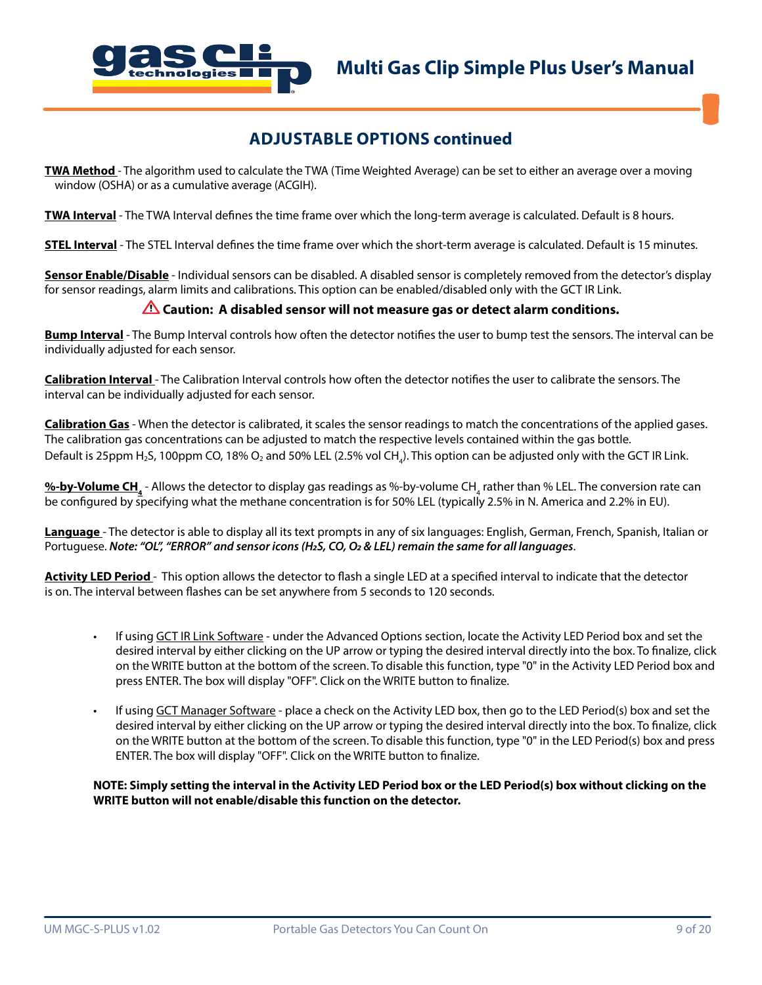

## **ADJUSTABLE OPTIONS continued**

**TWA Method** - The algorithm used to calculate the TWA (Time Weighted Average) can be set to either an average over a moving window (OSHA) or as a cumulative average (ACGIH).

**TWA Interval** - The TWA Interval defines the time frame over which the long-term average is calculated. Default is 8 hours.

**STEL Interval** - The STEL Interval defines the time frame over which the short-term average is calculated. Default is 15 minutes.

**Sensor Enable/Disable** - Individual sensors can be disabled. A disabled sensor is completely removed from the detector's display for sensor readings, alarm limits and calibrations. This option can be enabled/disabled only with the GCT IR Link.

#### **Caution: A disabled sensor will not measure gas or detect alarm conditions.**

**Bump Interval** - The Bump Interval controls how often the detector notifies the user to bump test the sensors. The interval can be individually adjusted for each sensor.

**Calibration Interval** - The Calibration Interval controls how often the detector notifies the user to calibrate the sensors. The interval can be individually adjusted for each sensor.

**Calibration Gas** - When the detector is calibrated, it scales the sensor readings to match the concentrations of the applied gases. The calibration gas concentrations can be adjusted to match the respective levels contained within the gas bottle. Default is 25ppm H2S, 100ppm CO, 18% O2 and 50% LEL (2.5% vol CH<sub>4</sub>). This option can be adjusted only with the GCT IR Link.

<u>%-**by-Volume CH**.</u> - Allows the detector to display gas readings as %-by-volume CH<sub>.4</sub> rather than % LEL. The conversion rate can be configured by specifying what the methane concentration is for 50% LEL (typically 2.5% in N. America and 2.2% in EU).

**Language** - The detector is able to display all its text prompts in any of six languages: English, German, French, Spanish, Italian or Portuguese. *Note: "OL", "ERROR" and sensor icons (H2S, CO, O2 & LEL) remain the same for all languages*.

**Activity LED Period** - This option allows the detector to flash a single LED at a specified interval to indicate that the detector is on. The interval between flashes can be set anywhere from 5 seconds to 120 seconds.

- If using GCT IR Link Software under the Advanced Options section, locate the Activity LED Period box and set the desired interval by either clicking on the UP arrow or typing the desired interval directly into the box. To finalize, click on the WRITE button at the bottom of the screen. To disable this function, type "0" in the Activity LED Period box and press ENTER. The box will display "OFF". Click on the WRITE button to finalize.
- If using GCT Manager Software place a check on the Activity LED box, then go to the LED Period(s) box and set the desired interval by either clicking on the UP arrow or typing the desired interval directly into the box. To finalize, click on the WRITE button at the bottom of the screen. To disable this function, type "0" in the LED Period(s) box and press ENTER. The box will display "OFF". Click on the WRITE button to finalize.

**NOTE: Simply setting the interval in the Activity LED Period box or the LED Period(s) box without clicking on the WRITE button will not enable/disable this function on the detector.**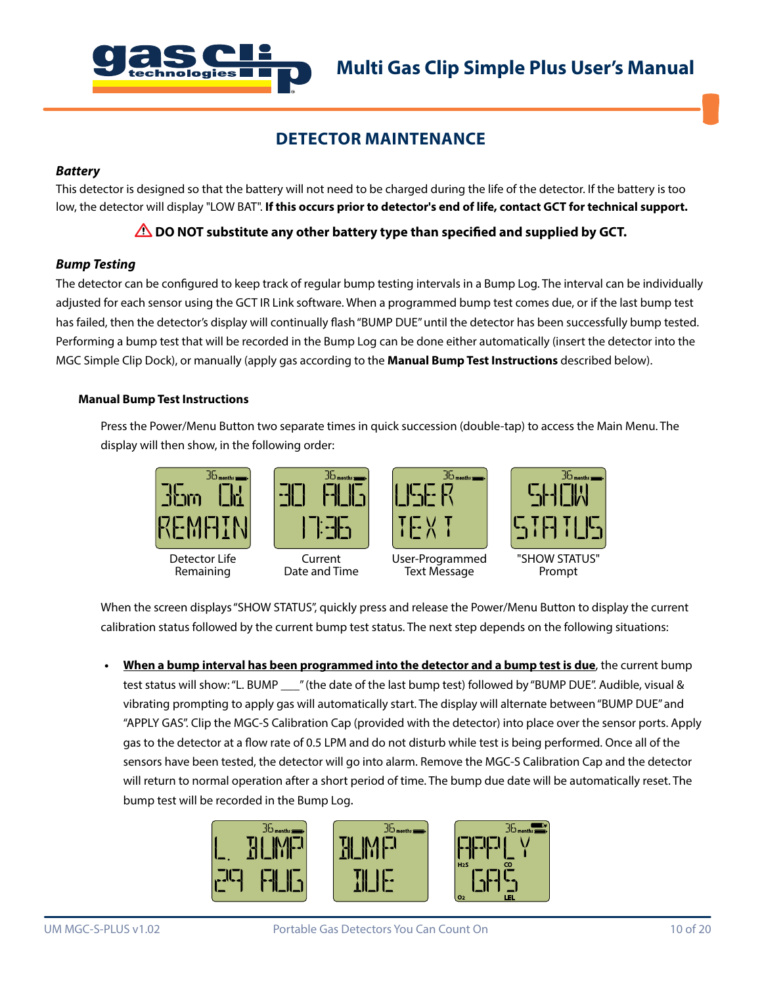

## **DETECTOR MAINTENANCE**

#### *Battery*

This detector is designed so that the battery will not need to be charged during the life of the detector. If the battery is too low, the detector will display "LOW BAT". **If this occurs prior to detector's end of life, contact GCT for technical support.**

## **DO NOT substitute any other battery type than specified and supplied by GCT.**

### *Bump Testing*

The detector can be configured to keep track of regular bump testing intervals in a Bump Log. The interval can be individually adjusted for each sensor using the GCT IR Link software. When a programmed bump test comes due, or if the last bump test has failed, then the detector's display will continually flash "BUMP DUE" until the detector has been successfully bump tested. Performing a bump test that will be recorded in the Bump Log can be done either automatically (insert the detector into the MGC Simple Clip Dock), or manually (apply gas according to the **Manual Bump Test Instructions** described below).

#### **Manual Bump Test Instructions**

Press the Power/Menu Button two separate times in quick succession (double-tap) to access the Main Menu. The display will then show, in the following order:



When the screen displays "SHOW STATUS", quickly press and release the Power/Menu Button to display the current calibration status followed by the current bump test status. The next step depends on the following situations:

**• When a bump interval has been programmed into the detector and a bump test is due**, the current bump test status will show: "L. BUMP \_\_\_" (the date of the last bump test) followed by "BUMP DUE". Audible, visual & vibrating prompting to apply gas will automatically start. The display will alternate between "BUMP DUE" and "APPLY GAS". Clip the MGC-S Calibration Cap (provided with the detector) into place over the sensor ports. Apply gas to the detector at a flow rate of 0.5 LPM and do not disturb while test is being performed. Once all of the sensors have been tested, the detector will go into alarm. Remove the MGC-S Calibration Cap and the detector will return to normal operation after a short period of time. The bump due date will be automatically reset. The bump test will be recorded in the Bump Log.

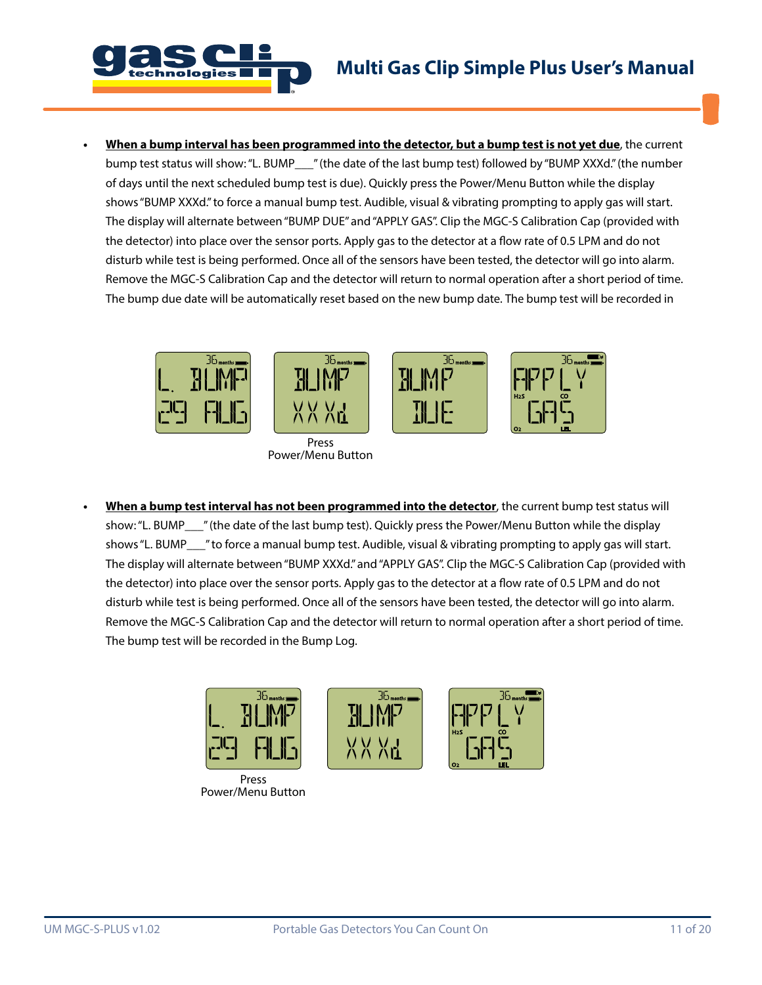



**• When a bump interval has been programmed into the detector, but a bump test is not yet due**, the current bump test status will show: "L. BUMP\_\_\_" (the date of the last bump test) followed by "BUMP XXXd." (the number of days until the next scheduled bump test is due). Quickly press the Power/Menu Button while the display shows "BUMP XXXd." to force a manual bump test. Audible, visual & vibrating prompting to apply gas will start. The display will alternate between "BUMP DUE" and "APPLY GAS". Clip the MGC-S Calibration Cap (provided with the detector) into place over the sensor ports. Apply gas to the detector at a flow rate of 0.5 LPM and do not disturb while test is being performed. Once all of the sensors have been tested, the detector will go into alarm. Remove the MGC-S Calibration Cap and the detector will return to normal operation after a short period of time. The bump due date will be automatically reset based on the new bump date. The bump test will be recorded in



**• When a bump test interval has not been programmed into the detector**, the current bump test status will show: "L. BUMP\_\_\_" (the date of the last bump test). Quickly press the Power/Menu Button while the display shows "L. BUMP\_\_\_" to force a manual bump test. Audible, visual & vibrating prompting to apply gas will start. The display will alternate between "BUMP XXXd." and "APPLY GAS". Clip the MGC-S Calibration Cap (provided with the detector) into place over the sensor ports. Apply gas to the detector at a flow rate of 0.5 LPM and do not disturb while test is being performed. Once all of the sensors have been tested, the detector will go into alarm. Remove the MGC-S Calibration Cap and the detector will return to normal operation after a short period of time. The bump test will be recorded in the Bump Log.



Power/Menu Button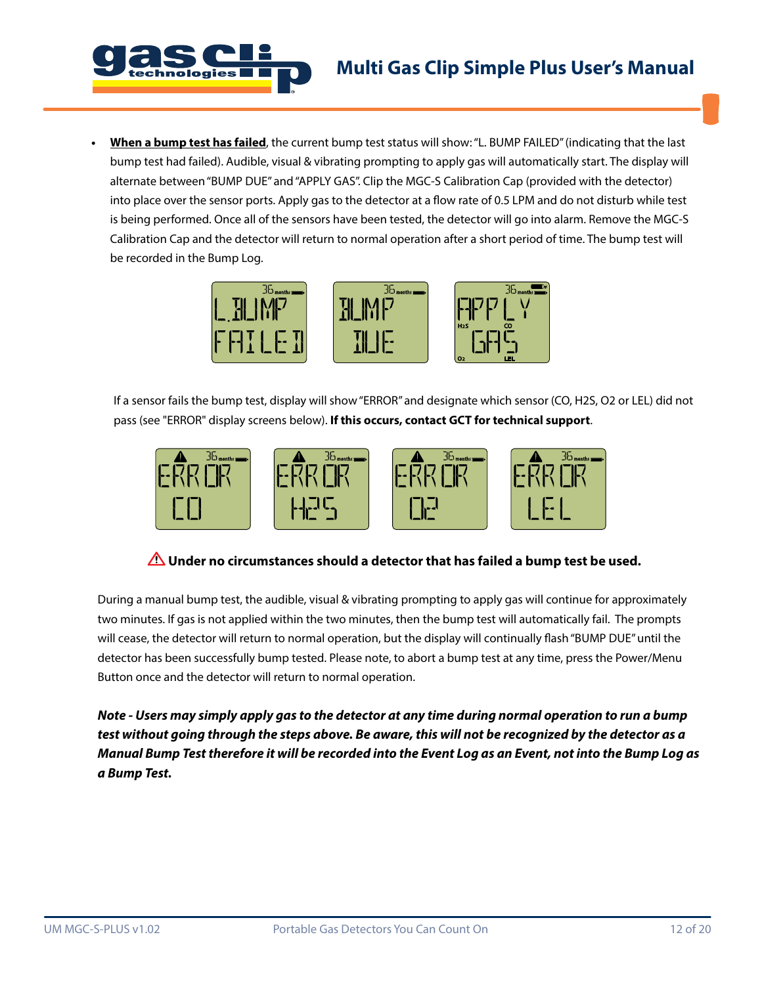

**• When a bump test has failed**, the current bump test status will show: "L. BUMP FAILED" (indicating that the last bump test had failed). Audible, visual & vibrating prompting to apply gas will automatically start. The display will alternate between "BUMP DUE" and "APPLY GAS". Clip the MGC-S Calibration Cap (provided with the detector) into place over the sensor ports. Apply gas to the detector at a flow rate of 0.5 LPM and do not disturb while test is being performed. Once all of the sensors have been tested, the detector will go into alarm. Remove the MGC-S Calibration Cap and the detector will return to normal operation after a short period of time. The bump test will be recorded in the Bump Log.



If a sensor fails the bump test, display will show "ERROR" and designate which sensor (CO, H2S, O2 or LEL) did not pass (see "ERROR" display screens below). **If this occurs, contact GCT for technical support**.



## *A* **Under no circumstances should a detector that has failed a bump test be used.**

During a manual bump test, the audible, visual & vibrating prompting to apply gas will continue for approximately two minutes. If gas is not applied within the two minutes, then the bump test will automatically fail. The prompts will cease, the detector will return to normal operation, but the display will continually flash "BUMP DUE" until the detector has been successfully bump tested. Please note, to abort a bump test at any time, press the Power/Menu Button once and the detector will return to normal operation.

*Note - Users may simply apply gas to the detector at any time during normal operation to run a bump test without going through the steps above. Be aware, this will not be recognized by the detector as a Manual Bump Test therefore it will be recorded into the Event Log as an Event, not into the Bump Log as a Bump Test.*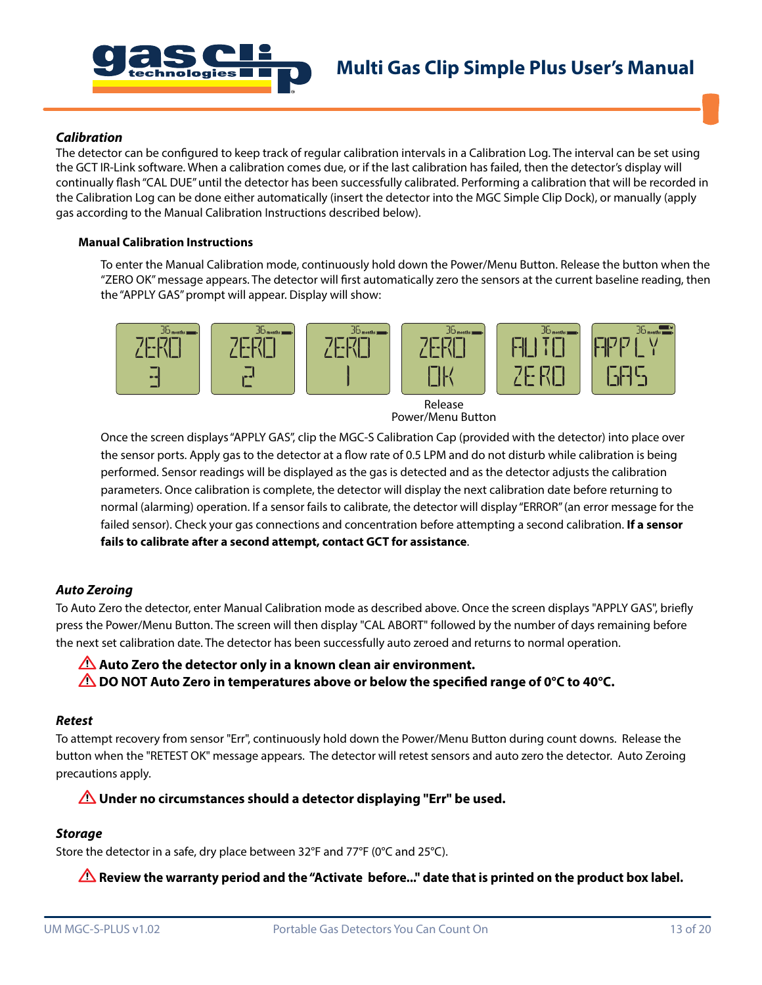

#### *Calibration*

The detector can be configured to keep track of regular calibration intervals in a Calibration Log. The interval can be set using the GCT IR-Link software. When a calibration comes due, or if the last calibration has failed, then the detector's display will continually flash "CAL DUE" until the detector has been successfully calibrated. Performing a calibration that will be recorded in the Calibration Log can be done either automatically (insert the detector into the MGC Simple Clip Dock), or manually (apply gas according to the Manual Calibration Instructions described below).

#### **Manual Calibration Instructions**

To enter the Manual Calibration mode, continuously hold down the Power/Menu Button. Release the button when the "ZERO OK" message appears. The detector will first automatically zero the sensors at the current baseline reading, then the "APPLY GAS" prompt will appear. Display will show:



Release Power/Menu Button

Once the screen displays "APPLY GAS", clip the MGC-S Calibration Cap (provided with the detector) into place over the sensor ports. Apply gas to the detector at a flow rate of 0.5 LPM and do not disturb while calibration is being performed. Sensor readings will be displayed as the gas is detected and as the detector adjusts the calibration parameters. Once calibration is complete, the detector will display the next calibration date before returning to normal (alarming) operation. If a sensor fails to calibrate, the detector will display "ERROR" (an error message for the failed sensor). Check your gas connections and concentration before attempting a second calibration. **If a sensor fails to calibrate after a second attempt, contact GCT for assistance**.

#### *Auto Zeroing*

To Auto Zero the detector, enter Manual Calibration mode as described above. Once the screen displays "APPLY GAS", briefly press the Power/Menu Button. The screen will then display "CAL ABORT" followed by the number of days remaining before the next set calibration date. The detector has been successfully auto zeroed and returns to normal operation.

# **Auto Zero the detector only in a known clean air environment.**

**The DO NOT Auto Zero in temperatures above or below the specified range of 0°C to 40°C.** 

#### *Retest*

To attempt recovery from sensor "Err", continuously hold down the Power/Menu Button during count downs. Release the button when the "RETEST OK" message appears. The detector will retest sensors and auto zero the detector. Auto Zeroing precautions apply.

## **Under no circumstances should a detector displaying "Err" be used.**

## *Storage*

Store the detector in a safe, dry place between 32°F and 77°F (0°C and 25°C).

**Review the warranty period and the "Activate before..." date that is printed on the product box label.**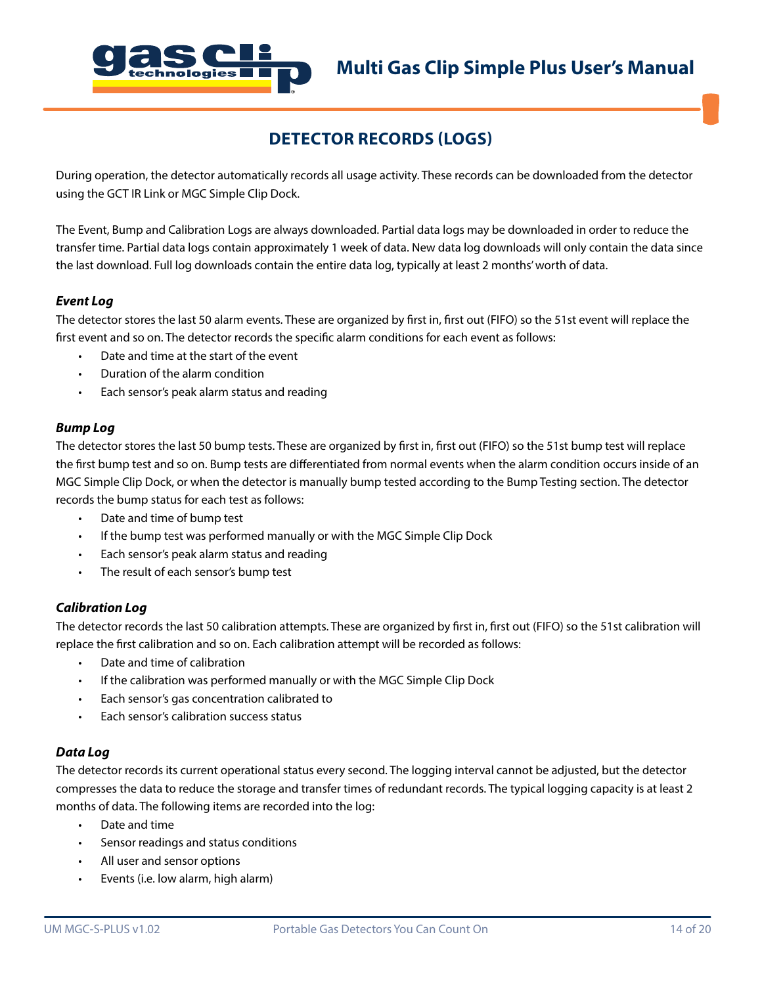

## **DETECTOR RECORDS (LOGS)**

During operation, the detector automatically records all usage activity. These records can be downloaded from the detector using the GCT IR Link or MGC Simple Clip Dock.

The Event, Bump and Calibration Logs are always downloaded. Partial data logs may be downloaded in order to reduce the transfer time. Partial data logs contain approximately 1 week of data. New data log downloads will only contain the data since the last download. Full log downloads contain the entire data log, typically at least 2 months' worth of data.

#### *Event Log*

The detector stores the last 50 alarm events. These are organized by first in, first out (FIFO) so the 51st event will replace the first event and so on. The detector records the specific alarm conditions for each event as follows:

- Date and time at the start of the event
- Duration of the alarm condition
- Each sensor's peak alarm status and reading

#### *Bump Log*

The detector stores the last 50 bump tests. These are organized by first in, first out (FIFO) so the 51st bump test will replace the first bump test and so on. Bump tests are differentiated from normal events when the alarm condition occurs inside of an MGC Simple Clip Dock, or when the detector is manually bump tested according to the Bump Testing section. The detector records the bump status for each test as follows:

- Date and time of bump test
- If the bump test was performed manually or with the MGC Simple Clip Dock
- Each sensor's peak alarm status and reading
- The result of each sensor's bump test

### *Calibration Log*

The detector records the last 50 calibration attempts. These are organized by first in, first out (FIFO) so the 51st calibration will replace the first calibration and so on. Each calibration attempt will be recorded as follows:

- Date and time of calibration
- If the calibration was performed manually or with the MGC Simple Clip Dock
- Each sensor's gas concentration calibrated to
- Each sensor's calibration success status

### *Data Log*

The detector records its current operational status every second. The logging interval cannot be adjusted, but the detector compresses the data to reduce the storage and transfer times of redundant records. The typical logging capacity is at least 2 months of data. The following items are recorded into the log:

- Date and time
- Sensor readings and status conditions
- All user and sensor options
- Events (i.e. low alarm, high alarm)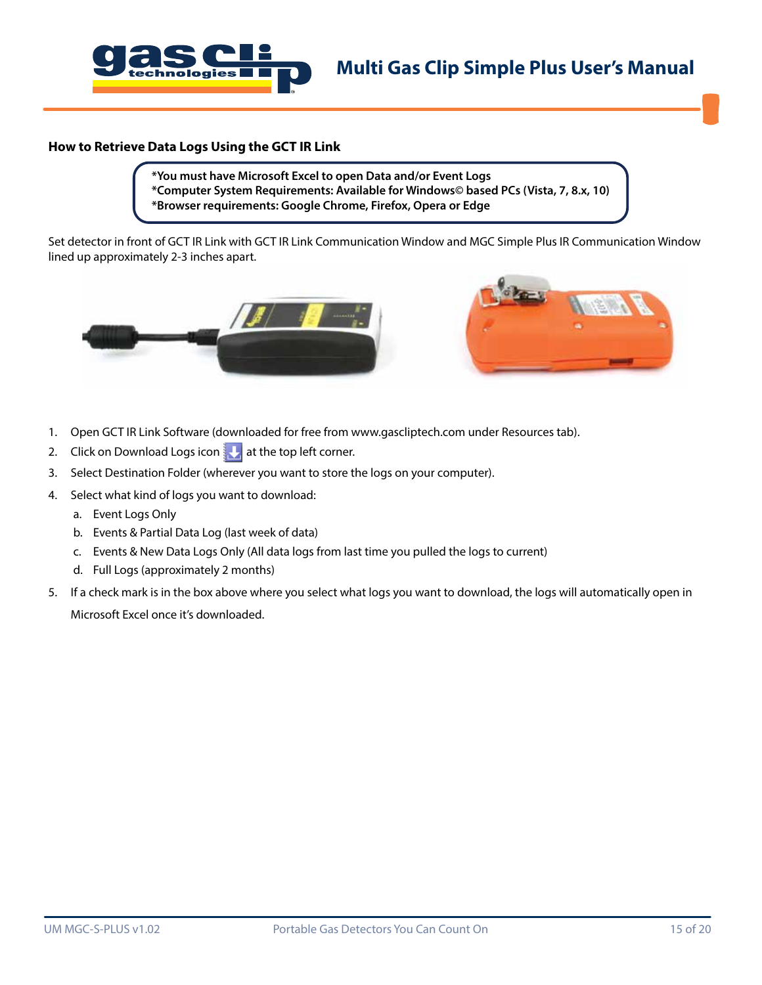

#### **How to Retrieve Data Logs Using the GCT IR Link**

**\*You must have Microsoft Excel to open Data and/or Event Logs \*Computer System Requirements: Available for Windows© based PCs (Vista, 7, 8.x, 10) \*Browser requirements: Google Chrome, Firefox, Opera or Edge**

Set detector in front of GCT IR Link with GCT IR Link Communication Window and MGC Simple Plus IR Communication Window lined up approximately 2-3 inches apart.





- 1. Open GCT IR Link Software (downloaded for free from www.gascliptech.com under Resources tab).
- 2. Click on Download Logs icon  $\mathbf{L}$  at the top left corner.
- 3. Select Destination Folder (wherever you want to store the logs on your computer).
- 4. Select what kind of logs you want to download:
	- a. Event Logs Only
	- b. Events & Partial Data Log (last week of data)
	- c. Events & New Data Logs Only (All data logs from last time you pulled the logs to current)
	- d. Full Logs (approximately 2 months)
- 5. If a check mark is in the box above where you select what logs you want to download, the logs will automatically open in Microsoft Excel once it's downloaded.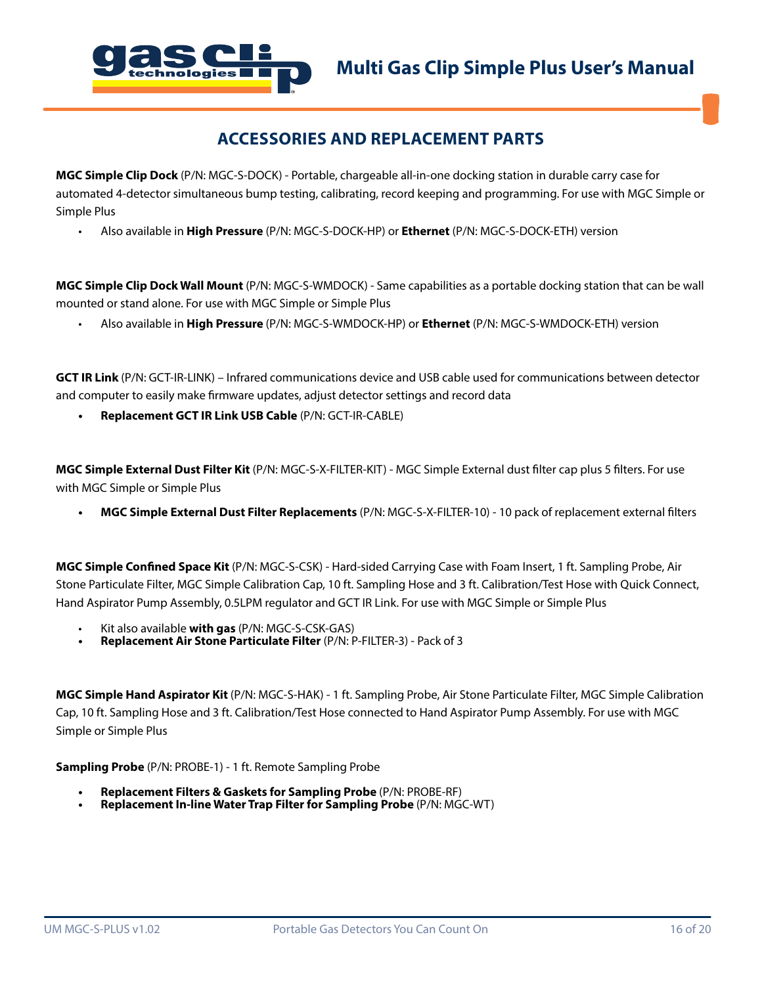

## **ACCESSORIES AND REPLACEMENT PARTS**

**MGC Simple Clip Dock** (P/N: MGC-S-DOCK) - Portable, chargeable all-in-one docking station in durable carry case for automated 4-detector simultaneous bump testing, calibrating, record keeping and programming. For use with MGC Simple or Simple Plus

• Also available in **High Pressure** (P/N: MGC-S-DOCK-HP) or **Ethernet** (P/N: MGC-S-DOCK-ETH) version

**MGC Simple Clip Dock Wall Mount** (P/N: MGC-S-WMDOCK) - Same capabilities as a portable docking station that can be wall mounted or stand alone. For use with MGC Simple or Simple Plus

• Also available in **High Pressure** (P/N: MGC-S-WMDOCK-HP) or **Ethernet** (P/N: MGC-S-WMDOCK-ETH) version

**GCT IR Link** (P/N: GCT-IR-LINK) – Infrared communications device and USB cable used for communications between detector and computer to easily make firmware updates, adjust detector settings and record data

**• Replacement GCT IR Link USB Cable** (P/N: GCT-IR-CABLE)

**MGC Simple External Dust Filter Kit** (P/N: MGC-S-X-FILTER-KIT) - MGC Simple External dust filter cap plus 5 filters. For use with MGC Simple or Simple Plus

**• MGC Simple External Dust Filter Replacements** (P/N: MGC-S-X-FILTER-10) - 10 pack of replacement external filters

**MGC Simple Confined Space Kit** (P/N: MGC-S-CSK) - Hard-sided Carrying Case with Foam Insert, 1 ft. Sampling Probe, Air Stone Particulate Filter, MGC Simple Calibration Cap, 10 ft. Sampling Hose and 3 ft. Calibration/Test Hose with Quick Connect, Hand Aspirator Pump Assembly, 0.5LPM regulator and GCT IR Link. For use with MGC Simple or Simple Plus

- Kit also available **with gas** (P/N: MGC-S-CSK-GAS)
- **• Replacement Air Stone Particulate Filter** (P/N: P-FILTER-3) Pack of 3

**MGC Simple Hand Aspirator Kit** (P/N: MGC-S-HAK) - 1 ft. Sampling Probe, Air Stone Particulate Filter, MGC Simple Calibration Cap, 10 ft. Sampling Hose and 3 ft. Calibration/Test Hose connected to Hand Aspirator Pump Assembly. For use with MGC Simple or Simple Plus

**Sampling Probe** (P/N: PROBE-1) - 1 ft. Remote Sampling Probe

- **• Replacement Filters & Gaskets for Sampling Probe** (P/N: PROBE-RF)
- **• Replacement In-line Water Trap Filter for Sampling Probe** (P/N: MGC-WT)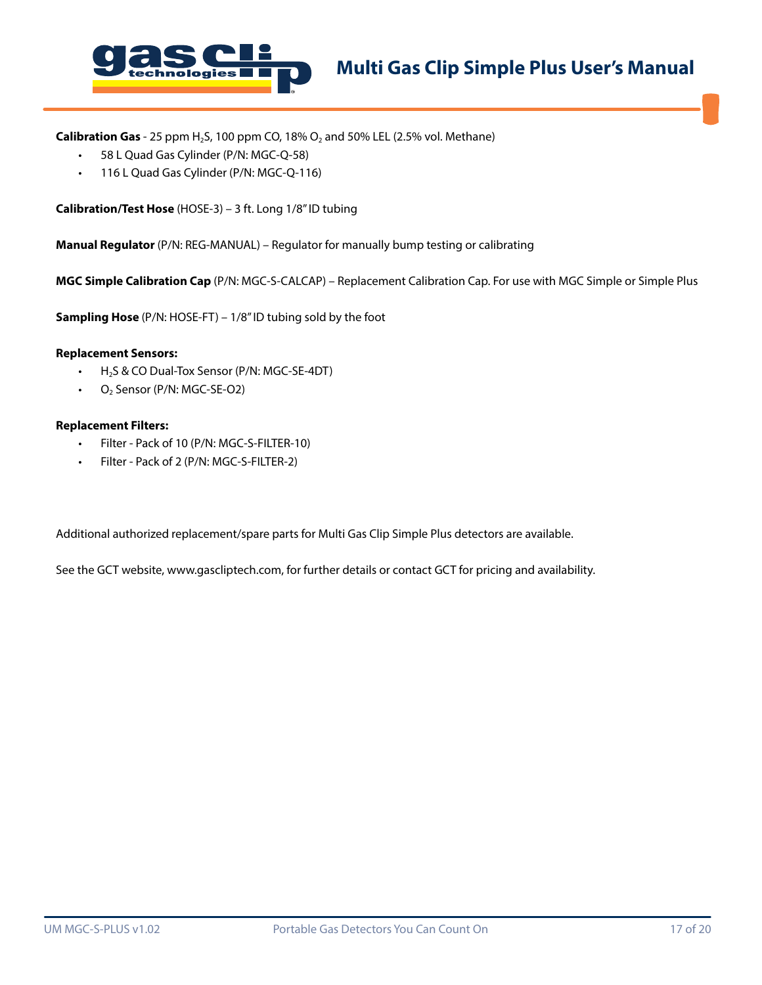

**Calibration Gas** - 25 ppm H<sub>2</sub>S, 100 ppm CO, 18% O<sub>2</sub> and 50% LEL (2.5% vol. Methane)

- 58 L Quad Gas Cylinder (P/N: MGC-Q-58)
- 116 L Quad Gas Cylinder (P/N: MGC-Q-116)

**Calibration/Test Hose** (HOSE-3) – 3 ft. Long 1/8" ID tubing

**Manual Regulator** (P/N: REG-MANUAL) – Regulator for manually bump testing or calibrating

**MGC Simple Calibration Cap** (P/N: MGC-S-CALCAP) – Replacement Calibration Cap. For use with MGC Simple or Simple Plus

**Sampling Hose** (P/N: HOSE-FT) – 1/8" ID tubing sold by the foot

#### **Replacement Sensors:**

- H<sub>2</sub>S & CO Dual-Tox Sensor (P/N: MGC-SE-4DT)
- $\cdot$  O<sub>2</sub> Sensor (P/N: MGC-SE-O2)

#### **Replacement Filters:**

- Filter Pack of 10 (P/N: MGC-S-FILTER-10)
- Filter Pack of 2 (P/N: MGC-S-FILTER-2)

Additional authorized replacement/spare parts for Multi Gas Clip Simple Plus detectors are available.

See the GCT website, www.gascliptech.com, for further details or contact GCT for pricing and availability.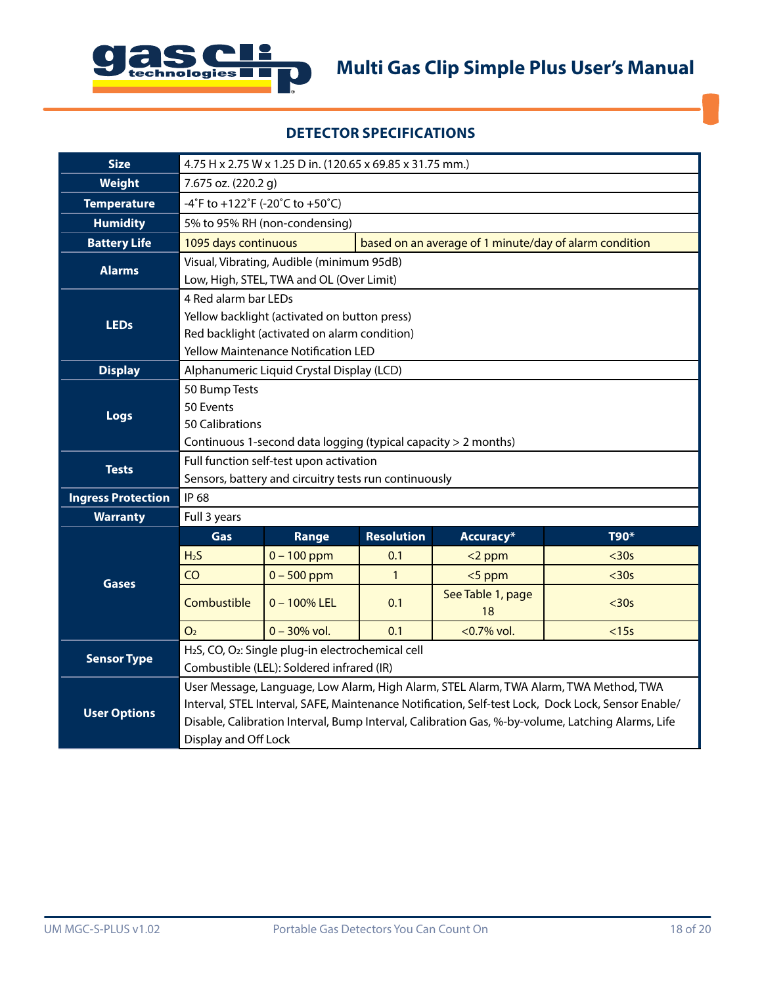

## **DETECTOR SPECIFICATIONS**

| <b>Size</b>               | 4.75 H x 2.75 W x 1.25 D in. (120.65 x 69.85 x 31.75 mm.)                                                                                                                                                                                                                                                                |                                                                                       |                   |                                                        |       |
|---------------------------|--------------------------------------------------------------------------------------------------------------------------------------------------------------------------------------------------------------------------------------------------------------------------------------------------------------------------|---------------------------------------------------------------------------------------|-------------------|--------------------------------------------------------|-------|
| <b>Weight</b>             | 7.675 oz. (220.2 g)                                                                                                                                                                                                                                                                                                      |                                                                                       |                   |                                                        |       |
| <b>Temperature</b>        | -4°F to +122°F (-20°C to +50°C)                                                                                                                                                                                                                                                                                          |                                                                                       |                   |                                                        |       |
| <b>Humidity</b>           |                                                                                                                                                                                                                                                                                                                          | 5% to 95% RH (non-condensing)                                                         |                   |                                                        |       |
| <b>Battery Life</b>       | 1095 days continuous                                                                                                                                                                                                                                                                                                     |                                                                                       |                   | based on an average of 1 minute/day of alarm condition |       |
| <b>Alarms</b>             |                                                                                                                                                                                                                                                                                                                          | Visual, Vibrating, Audible (minimum 95dB)<br>Low, High, STEL, TWA and OL (Over Limit) |                   |                                                        |       |
| <b>LEDs</b>               | 4 Red alarm bar LEDs<br>Yellow backlight (activated on button press)<br>Red backlight (activated on alarm condition)<br><b>Yellow Maintenance Notification LED</b>                                                                                                                                                       |                                                                                       |                   |                                                        |       |
| <b>Display</b>            |                                                                                                                                                                                                                                                                                                                          | Alphanumeric Liquid Crystal Display (LCD)                                             |                   |                                                        |       |
| Logs                      | 50 Bump Tests<br>50 Events<br>50 Calibrations<br>Continuous 1-second data logging (typical capacity > 2 months)                                                                                                                                                                                                          |                                                                                       |                   |                                                        |       |
| <b>Tests</b>              | Full function self-test upon activation<br>Sensors, battery and circuitry tests run continuously                                                                                                                                                                                                                         |                                                                                       |                   |                                                        |       |
| <b>Ingress Protection</b> | IP 68                                                                                                                                                                                                                                                                                                                    |                                                                                       |                   |                                                        |       |
| <b>Warranty</b>           | Full 3 years                                                                                                                                                                                                                                                                                                             |                                                                                       |                   |                                                        |       |
|                           | Gas                                                                                                                                                                                                                                                                                                                      | Range                                                                                 | <b>Resolution</b> | Accuracy*                                              | T90*  |
|                           | H <sub>2</sub> S                                                                                                                                                                                                                                                                                                         | $0 - 100$ ppm                                                                         | 0.1               | $<$ 2 ppm                                              | $30s$ |
| <b>Gases</b>              | CO                                                                                                                                                                                                                                                                                                                       | $0 - 500$ ppm                                                                         | $\mathbf{1}$      | <5 ppm                                                 | $30s$ |
|                           | Combustible                                                                                                                                                                                                                                                                                                              | $0 - 100\%$ LEL                                                                       | 0.1               | See Table 1, page<br>18                                | $30s$ |
|                           | O <sub>2</sub>                                                                                                                                                                                                                                                                                                           | $0 - 30\%$ vol.                                                                       | 0.1               | <0.7% vol.                                             | < 15s |
| <b>Sensor Type</b>        | H <sub>2</sub> S, CO, O <sub>2</sub> : Single plug-in electrochemical cell<br>Combustible (LEL): Soldered infrared (IR)                                                                                                                                                                                                  |                                                                                       |                   |                                                        |       |
| <b>User Options</b>       | User Message, Language, Low Alarm, High Alarm, STEL Alarm, TWA Alarm, TWA Method, TWA<br>Interval, STEL Interval, SAFE, Maintenance Notification, Self-test Lock, Dock Lock, Sensor Enable/<br>Disable, Calibration Interval, Bump Interval, Calibration Gas, %-by-volume, Latching Alarms, Life<br>Display and Off Lock |                                                                                       |                   |                                                        |       |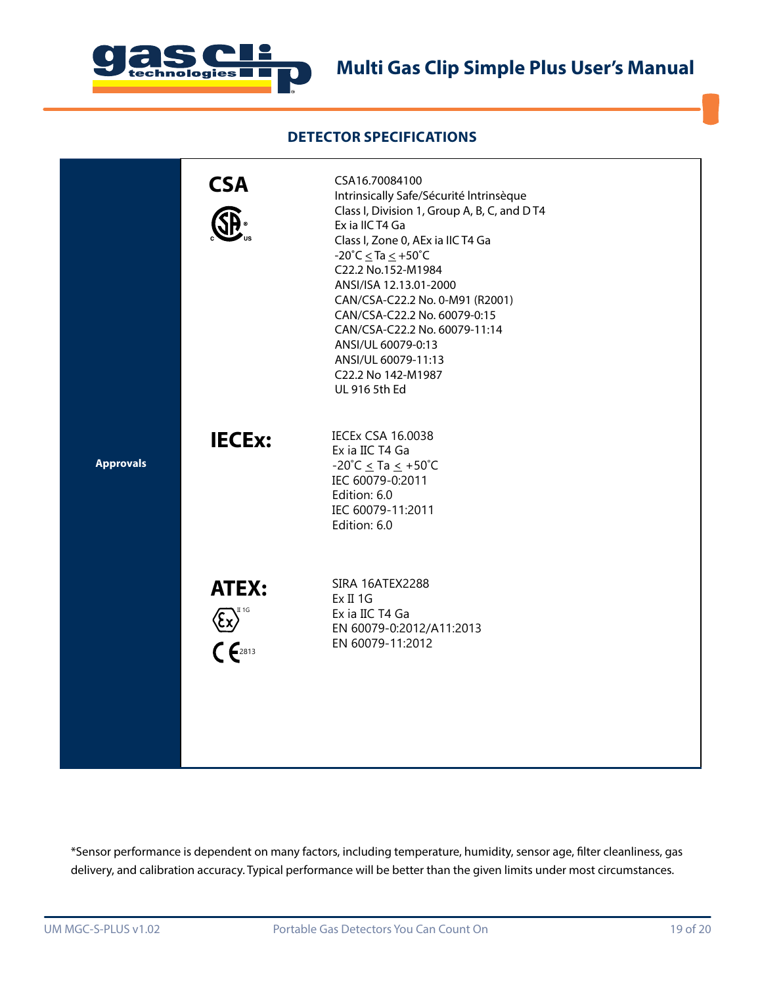

## **DETECTOR SPECIFICATIONS**

|                  | <b>CSA</b>                                               | CSA16.70084100<br>Intrinsically Safe/Sécurité Intrinsèque<br>Class I, Division 1, Group A, B, C, and DT4<br>Ex ia IIC T4 Ga<br>Class I, Zone 0, AEx ia IIC T4 Ga<br>$-20^{\circ}$ C $\leq$ Ta $\leq$ $+50^{\circ}$ C<br>C22.2 No.152-M1984<br>ANSI/ISA 12.13.01-2000<br>CAN/CSA-C22.2 No. 0-M91 (R2001)<br>CAN/CSA-C22.2 No. 60079-0:15<br>CAN/CSA-C22.2 No. 60079-11:14<br>ANSI/UL 60079-0:13<br>ANSI/UL 60079-11:13<br>C22.2 No 142-M1987<br>UL 916 5th Ed |
|------------------|----------------------------------------------------------|--------------------------------------------------------------------------------------------------------------------------------------------------------------------------------------------------------------------------------------------------------------------------------------------------------------------------------------------------------------------------------------------------------------------------------------------------------------|
| <b>Approvals</b> | <b>IECEx:</b>                                            | <b>IECEX CSA 16.0038</b><br>Ex ia IIC T4 Ga<br>-20°C $\leq$ Ta $\leq$ +50°C<br>IEC 60079-0:2011<br>Edition: 6.0<br>IEC 60079-11:2011<br>Edition: 6.0                                                                                                                                                                                                                                                                                                         |
|                  | <b>ATEX:</b><br>$\sqrt{\xi x}$ <sup>T<sub>16</sub></sup> | SIRA 16ATEX2288<br>Ex II 1G<br>Ex ia IIC T4 Ga<br>EN 60079-0:2012/A11:2013<br>EN 60079-11:2012                                                                                                                                                                                                                                                                                                                                                               |

\*Sensor performance is dependent on many factors, including temperature, humidity, sensor age, filter cleanliness, gas delivery, and calibration accuracy. Typical performance will be better than the given limits under most circumstances.